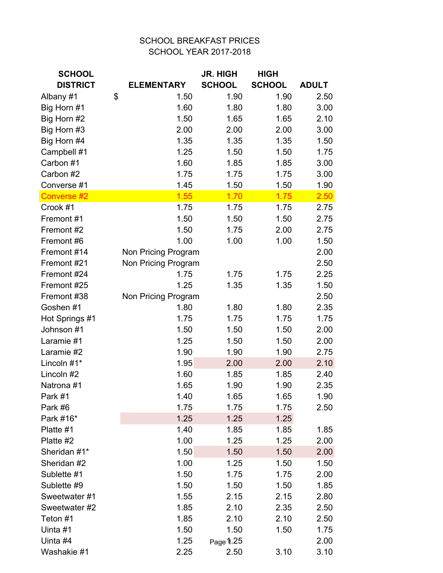## SCHOOL BREAKFAST PRICES SCHOOL YEAR 2017-2018

| <b>SCHOOL</b>   |                     | <b>JR. HIGH</b> | <b>HIGH</b>   |              |
|-----------------|---------------------|-----------------|---------------|--------------|
| <b>DISTRICT</b> | <b>ELEMENTARY</b>   | <b>SCHOOL</b>   | <b>SCHOOL</b> | <b>ADULT</b> |
| Albany #1       | \$<br>1.50          | 1.90            | 1.90          | 2.50         |
| Big Horn #1     | 1.60                | 1.80            | 1.80          | 3.00         |
| Big Horn #2     | 1.50                | 1.65            | 1.65          | 2.10         |
| Big Horn #3     | 2.00                | 2.00            | 2.00          | 3.00         |
| Big Horn #4     | 1.35                | 1.35            | 1.35          | 1.50         |
| Campbell #1     | 1.25                | 1.50            | 1.50          | 1.75         |
| Carbon #1       | 1.60                | 1.85            | 1.85          | 3.00         |
| Carbon #2       | 1.75                | 1.75            | 1.75          | 3.00         |
| Converse #1     | 1.45                | 1.50            | 1.50          | 1.90         |
| Converse #2     | 1.55                | 1.70            | 1.75          | 2.50         |
| Crook #1        | 1.75                | 1.75            | 1.75          | 2.75         |
| Fremont #1      | 1.50                | 1.50            | 1.50          | 2.75         |
| Fremont #2      | 1.50                | 1.75            | 2.00          | 2.75         |
| Fremont #6      | 1.00                | 1.00            | 1.00          | 1.50         |
| Fremont #14     | Non Pricing Program |                 |               | 2.00         |
| Fremont #21     | Non Pricing Program |                 |               | 2.50         |
| Fremont #24     | 1.75                | 1.75            | 1.75          | 2.25         |
| Fremont #25     | 1.25                | 1.35            | 1.35          | 1.50         |
| Fremont #38     | Non Pricing Program |                 |               | 2.50         |
| Goshen #1       | 1.80                | 1.80            | 1.80          | 2.35         |
| Hot Springs #1  | 1.75                | 1.75            | 1.75          | 1.75         |
| Johnson #1      | 1.50                | 1.50            | 1.50          | 2.00         |
| Laramie #1      | 1.25                | 1.50            | 1.50          | 2.00         |
| Laramie #2      | 1.90                | 1.90            | 1.90          | 2.75         |
| Lincoln #1*     | 1.95                | 2.00            | 2.00          | 2.10         |
| Lincoln #2      | 1.60                | 1.85            | 1.85          | 2.40         |
| Natrona #1      | 1.65                | 1.90            | 1.90          | 2.35         |
| Park #1         | 1.40                | 1.65            | 1.65          | 1.90         |
| Park #6         | 1.75                | 1.75            | 1.75          | 2.50         |
| Park #16*       | 1.25                | 1.25            | 1.25          |              |
| Platte #1       | 1.40                | 1.85            | 1.85          | 1.85         |
| Platte #2       | 1.00                | 1.25            | 1.25          | 2.00         |
| Sheridan #1*    | 1.50                | 1.50            | 1.50          | 2.00         |
| Sheridan #2     | 1.00                | 1.25            | 1.50          | 1.50         |
| Sublette #1     | 1.50                | 1.75            | 1.75          | 2.00         |
| Sublette #9     | 1.50                | 1.50            | 1.50          | 1.85         |
| Sweetwater #1   | 1.55                | 2.15            | 2.15          | 2.80         |
| Sweetwater #2   | 1.85                | 2.10            | 2.35          | 2.50         |
| Teton #1        | 1.85                | 2.10            | 2.10          | 2.50         |
| Uinta #1        | 1.50                | 1.50            | 1.50          | 1.75         |
| Uinta #4        | 1.25                | Page 1.25       |               | 2.00         |
| Washakie #1     | 2.25                | 2.50            | 3.10          | 3.10         |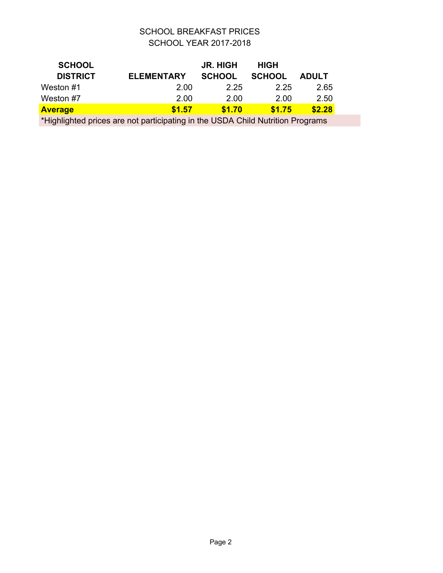## SCHOOL BREAKFAST PRICES SCHOOL YEAR 2017-2018

| <b>SCHOOL</b>                                                                  |                   | <b>JR. HIGH</b> | <b>HIGH</b>   |              |  |
|--------------------------------------------------------------------------------|-------------------|-----------------|---------------|--------------|--|
| <b>DISTRICT</b>                                                                | <b>ELEMENTARY</b> | <b>SCHOOL</b>   | <b>SCHOOL</b> | <b>ADULT</b> |  |
| Weston #1                                                                      | 2.00              | 2.25            | 2.25          | 2.65         |  |
| Weston #7                                                                      | 2.00              | 2.00            | 2.00          | 2.50         |  |
| <b>Average</b>                                                                 | \$1.57            | \$1.70          | \$1.75        | \$2.28       |  |
| *Highlighted prices are not participating in the USDA Child Nutrition Programs |                   |                 |               |              |  |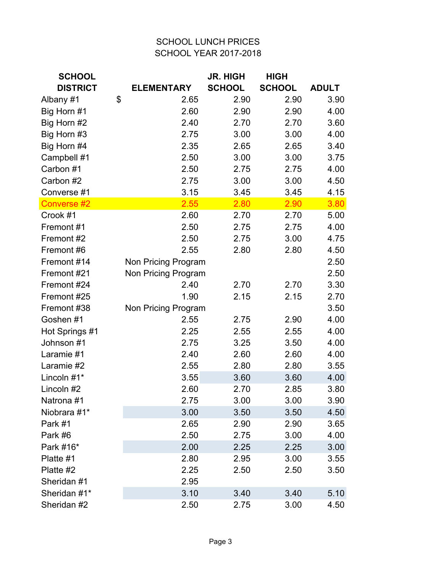## SCHOOL LUNCH PRICES SCHOOL YEAR 2017-2018

| <b>SCHOOL</b>   |                     | <b>JR. HIGH</b> | <b>HIGH</b>   |              |
|-----------------|---------------------|-----------------|---------------|--------------|
| <b>DISTRICT</b> | <b>ELEMENTARY</b>   | <b>SCHOOL</b>   | <b>SCHOOL</b> | <b>ADULT</b> |
| Albany #1       | \$<br>2.65          | 2.90            | 2.90          | 3.90         |
| Big Horn #1     | 2.60                | 2.90            | 2.90          | 4.00         |
| Big Horn #2     | 2.40                | 2.70            | 2.70          | 3.60         |
| Big Horn #3     | 2.75                | 3.00            | 3.00          | 4.00         |
| Big Horn #4     | 2.35                | 2.65            | 2.65          | 3.40         |
| Campbell #1     | 2.50                | 3.00            | 3.00          | 3.75         |
| Carbon #1       | 2.50                | 2.75            | 2.75          | 4.00         |
| Carbon #2       | 2.75                | 3.00            | 3.00          | 4.50         |
| Converse #1     | 3.15                | 3.45            | 3.45          | 4.15         |
| Converse #2     | 2.55                | 2.80            | 2.90          | 3.80         |
| Crook #1        | 2.60                | 2.70            | 2.70          | 5.00         |
| Fremont #1      | 2.50                | 2.75            | 2.75          | 4.00         |
| Fremont #2      | 2.50                | 2.75            | 3.00          | 4.75         |
| Fremont #6      | 2.55                | 2.80            | 2.80          | 4.50         |
| Fremont #14     | Non Pricing Program |                 |               | 2.50         |
| Fremont #21     | Non Pricing Program |                 |               | 2.50         |
| Fremont #24     | 2.40                | 2.70            | 2.70          | 3.30         |
| Fremont #25     | 1.90                | 2.15            | 2.15          | 2.70         |
| Fremont #38     | Non Pricing Program |                 |               | 3.50         |
| Goshen #1       | 2.55                | 2.75            | 2.90          | 4.00         |
| Hot Springs #1  | 2.25                | 2.55            | 2.55          | 4.00         |
| Johnson #1      | 2.75                | 3.25            | 3.50          | 4.00         |
| Laramie #1      | 2.40                | 2.60            | 2.60          | 4.00         |
| Laramie #2      | 2.55                | 2.80            | 2.80          | 3.55         |
| Lincoln #1*     | 3.55                | 3.60            | 3.60          | 4.00         |
| Lincoln #2      | 2.60                | 2.70            | 2.85          | 3.80         |
| Natrona #1      | 2.75                | 3.00            | 3.00          | 3.90         |
| Niobrara #1*    | 3.00                | 3.50            | 3.50          | 4.50         |
| Park #1         | 2.65                | 2.90            | 2.90          | 3.65         |
| Park #6         | 2.50                | 2.75            | 3.00          | 4.00         |
| Park #16*       | 2.00                | 2.25            | 2.25          | 3.00         |
| Platte #1       | 2.80                | 2.95            | 3.00          | 3.55         |
| Platte #2       | 2.25                | 2.50            | 2.50          | 3.50         |
| Sheridan #1     | 2.95                |                 |               |              |
| Sheridan #1*    | 3.10                | 3.40            | 3.40          | 5.10         |
| Sheridan #2     | 2.50                | 2.75            | 3.00          | 4.50         |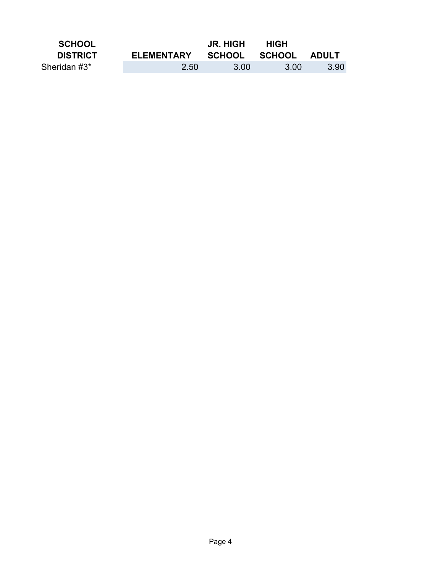| <b>SCHOOL</b>   |                   | <b>JR. HIGH</b>     | <b>HIGH</b> |      |
|-----------------|-------------------|---------------------|-------------|------|
| <b>DISTRICT</b> | <b>ELEMENTARY</b> | SCHOOL SCHOOL ADULT |             |      |
| Sheridan #3*    | 2.50              | 3.00                | -3.00       | 3.90 |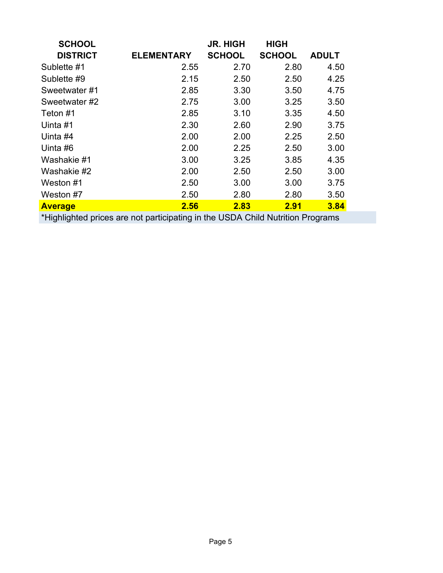| <b>SCHOOL</b>   |                   | <b>JR. HIGH</b> | <b>HIGH</b>   |              |
|-----------------|-------------------|-----------------|---------------|--------------|
| <b>DISTRICT</b> | <b>ELEMENTARY</b> | <b>SCHOOL</b>   | <b>SCHOOL</b> | <b>ADULT</b> |
| Sublette #1     | 2.55              | 2.70            | 2.80          | 4.50         |
| Sublette #9     | 2.15              | 2.50            | 2.50          | 4.25         |
| Sweetwater #1   | 2.85              | 3.30            | 3.50          | 4.75         |
| Sweetwater #2   | 2.75              | 3.00            | 3.25          | 3.50         |
| Teton #1        | 2.85              | 3.10            | 3.35          | 4.50         |
| Uinta #1        | 2.30              | 2.60            | 2.90          | 3.75         |
| Uinta #4        | 2.00              | 2.00            | 2.25          | 2.50         |
| Uinta #6        | 2.00              | 2.25            | 2.50          | 3.00         |
| Washakie #1     | 3.00              | 3.25            | 3.85          | 4.35         |
| Washakie #2     | 2.00              | 2.50            | 2.50          | 3.00         |
| Weston #1       | 2.50              | 3.00            | 3.00          | 3.75         |
| Weston #7       | 2.50              | 2.80            | 2.80          | 3.50         |
| <b>Average</b>  | 2.56              | 2.83            | <b>2.91</b>   | 3.84         |

\*Highlighted prices are not participating in the USDA Child Nutrition Programs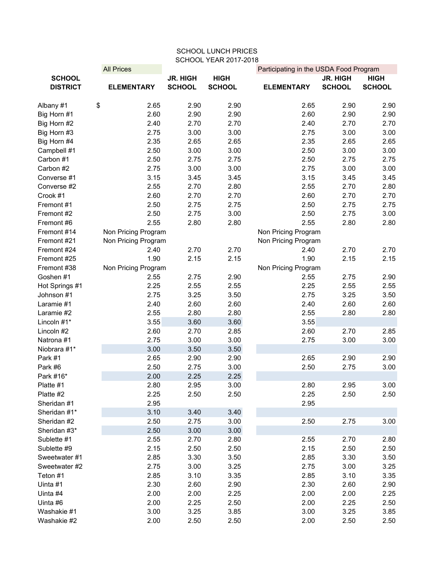| <b>SCHOOL LUNCH PRICES</b>   |                     |                 |               |                                        |                 |               |  |  |
|------------------------------|---------------------|-----------------|---------------|----------------------------------------|-----------------|---------------|--|--|
| <b>SCHOOL YEAR 2017-2018</b> |                     |                 |               |                                        |                 |               |  |  |
|                              | <b>All Prices</b>   |                 |               | Participating in the USDA Food Program |                 |               |  |  |
| <b>SCHOOL</b>                |                     | <b>JR. HIGH</b> | <b>HIGH</b>   |                                        | <b>JR. HIGH</b> | <b>HIGH</b>   |  |  |
| <b>DISTRICT</b>              | <b>ELEMENTARY</b>   | <b>SCHOOL</b>   | <b>SCHOOL</b> | <b>ELEMENTARY</b>                      | <b>SCHOOL</b>   | <b>SCHOOL</b> |  |  |
| \$<br>Albany #1              | 2.65                | 2.90            | 2.90          | 2.65                                   | 2.90            | 2.90          |  |  |
| Big Horn #1                  | 2.60                | 2.90            | 2.90          | 2.60                                   | 2.90            | 2.90          |  |  |
| Big Horn #2                  | 2.40                | 2.70            | 2.70          | 2.40                                   | 2.70            | 2.70          |  |  |
| Big Horn #3                  | 2.75                | 3.00            | 3.00          | 2.75                                   | 3.00            | 3.00          |  |  |
| Big Horn #4                  | 2.35                | 2.65            | 2.65          | 2.35                                   | 2.65            | 2.65          |  |  |
| Campbell #1                  | 2.50                | 3.00            | 3.00          | 2.50                                   | 3.00            | 3.00          |  |  |
| Carbon #1                    | 2.50                | 2.75            | 2.75          | 2.50                                   | 2.75            | 2.75          |  |  |
| Carbon #2                    | 2.75                | 3.00            | 3.00          | 2.75                                   | 3.00            | 3.00          |  |  |
| Converse #1                  | 3.15                | 3.45            | 3.45          | 3.15                                   | 3.45            | 3.45          |  |  |
| Converse #2                  | 2.55                | 2.70            | 2.80          | 2.55                                   | 2.70            | 2.80          |  |  |
| Crook #1                     | 2.60                | 2.70            | 2.70          | 2.60                                   | 2.70            | 2.70          |  |  |
| Fremont #1                   | 2.50                | 2.75            | 2.75          | 2.50                                   | 2.75            | 2.75          |  |  |
| Fremont #2                   | 2.50                | 2.75            | 3.00          | 2.50                                   | 2.75            | 3.00          |  |  |
| Fremont #6                   | 2.55                | 2.80            | 2.80          | 2.55                                   | 2.80            | 2.80          |  |  |
| Fremont #14                  | Non Pricing Program |                 |               | Non Pricing Program                    |                 |               |  |  |
| Fremont #21                  | Non Pricing Program |                 |               | Non Pricing Program                    |                 |               |  |  |
| Fremont #24                  | 2.40                | 2.70            | 2.70          | 2.40                                   | 2.70            | 2.70          |  |  |
| Fremont #25                  | 1.90                | 2.15            | 2.15          | 1.90                                   | 2.15            | 2.15          |  |  |
| Fremont #38                  | Non Pricing Program |                 |               | Non Pricing Program                    |                 |               |  |  |
| Goshen #1                    | 2.55                | 2.75            | 2.90          | 2.55                                   | 2.75            | 2.90          |  |  |
| Hot Springs #1               | 2.25                | 2.55            | 2.55          | 2.25                                   | 2.55            | 2.55          |  |  |
| Johnson #1                   | 2.75                | 3.25            | 3.50          | 2.75                                   | 3.25            | 3.50          |  |  |
| Laramie #1                   | 2.40                | 2.60            | 2.60          | 2.40                                   | 2.60            | 2.60          |  |  |
| Laramie #2                   | 2.55                | 2.80            | 2.80          | 2.55                                   | 2.80            | 2.80          |  |  |
| Lincoln #1*                  | 3.55                | 3.60            | 3.60          | 3.55                                   |                 |               |  |  |
| Lincoln #2                   | 2.60                | 2.70            | 2.85          | 2.60                                   | 2.70            | 2.85          |  |  |
| Natrona #1                   | 2.75                | 3.00            | 3.00          | 2.75                                   | 3.00            | 3.00          |  |  |
| Niobrara #1*                 | 3.00                | 3.50            | 3.50          |                                        |                 |               |  |  |
| Park #1                      | 2.65                | 2.90            | 2.90          | 2.65                                   | 2.90            | 2.90          |  |  |
| Park #6                      | 2.50                | 2.75            | 3.00          | 2.50                                   | 2.75            | 3.00          |  |  |
| Park #16*                    | 2.00                | 2.25            | 2.25          |                                        |                 |               |  |  |
| Platte #1                    | 2.80                | 2.95            | 3.00          | 2.80                                   | 2.95            | 3.00          |  |  |
| Platte #2                    | 2.25                | 2.50            | 2.50          | 2.25                                   | 2.50            | 2.50          |  |  |
| Sheridan #1                  | 2.95                |                 |               | 2.95                                   |                 |               |  |  |
| Sheridan #1*                 | 3.10                | 3.40            | 3.40          |                                        |                 |               |  |  |
| Sheridan #2                  | 2.50                | 2.75            | 3.00          | 2.50                                   | 2.75            | 3.00          |  |  |
| Sheridan #3*                 | 2.50                | 3.00            | 3.00          |                                        |                 |               |  |  |
| Sublette #1                  | 2.55                | 2.70            | 2.80          | 2.55                                   | 2.70            | 2.80          |  |  |
| Sublette #9                  | 2.15                | 2.50            | 2.50          | 2.15                                   | 2.50            | 2.50          |  |  |
| Sweetwater #1                | 2.85                | 3.30            | 3.50          | 2.85                                   | 3.30            | 3.50          |  |  |
| Sweetwater #2                | 2.75                | 3.00            | 3.25          | 2.75                                   | 3.00            | 3.25          |  |  |
| Teton #1                     | 2.85                | 3.10            | 3.35          | 2.85                                   | 3.10            | 3.35          |  |  |
| Uinta #1                     | 2.30                | 2.60            | 2.90          | 2.30                                   | 2.60            | 2.90          |  |  |
| Uinta #4                     | 2.00                | 2.00            | 2.25          | 2.00                                   | 2.00            | 2.25          |  |  |
| Uinta #6                     | 2.00                | 2.25            | 2.50          | 2.00                                   | 2.25            | 2.50          |  |  |
| Washakie #1                  | 3.00                | 3.25            | 3.85          | 3.00                                   | 3.25            | 3.85          |  |  |
| Washakie #2                  | 2.00                | 2.50            | 2.50          | 2.00                                   | 2.50            | 2.50          |  |  |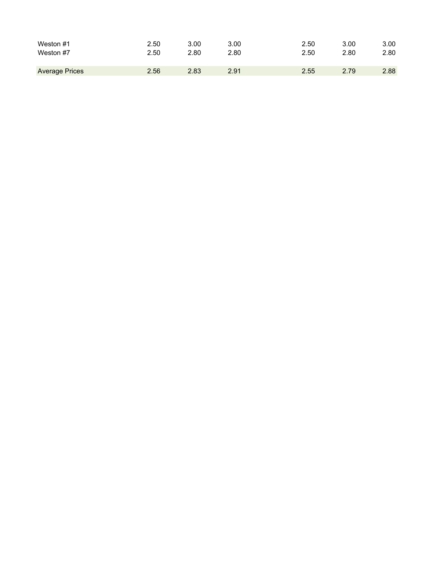| Weston #1             | 2.50 | 3.00 | 3.00 | 2.50 | 3.00 | 3.00 |
|-----------------------|------|------|------|------|------|------|
| Weston #7             | 2.50 | 2.80 | 2.80 | 2.50 | 2.80 | 2.80 |
| <b>Average Prices</b> | 2.56 | 2.83 | 2.91 | 2.55 | 2.79 | 2.88 |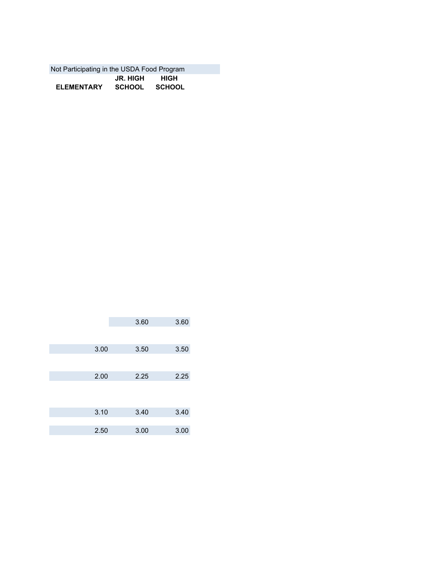| Not Participating in the USDA Food Program |               |      |  |
|--------------------------------------------|---------------|------|--|
|                                            | JR. HIGH      | HIGH |  |
| <b>ELEMENTARY</b>                          | SCHOOL SCHOOL |      |  |

| 3.60 | 3.60         |
|------|--------------|
|      |              |
|      |              |
| 3.50 | 3.50         |
|      |              |
|      |              |
| 2.25 | 2.25         |
|      |              |
|      |              |
|      |              |
|      | 3.40         |
|      |              |
|      |              |
|      | 3.00         |
|      | 3.40<br>3.00 |